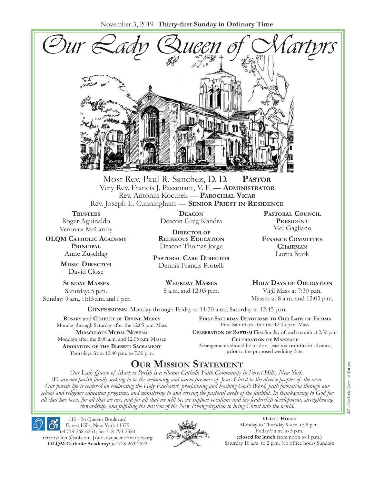November 3, 2019 -**Thirty-first Sunday in Ordinary Time**



Most Rev. Paul R. Sanchez, D. D. — **Pastor** Very Rev. Francis J. Passenant, V. F. — **Administrator** Rev. Antonin Kocurek — **Parochial Vicar** Rev. Joseph L. Cunningham — **Senior Priest in Residence**

**TRUSTEES** Roger Aguinaldo Veronica McCarthy

**OLQM Catholic Academy Principal** Anne Zuschlag

> **Music Director** David Close

**Sunday Masses** Saturday: 5 p.m. Sunday: 9 a.m., 11:15 a.m. and 1 p.m.

**Deacon** Deacon Greg Kandra

**Director of Religious Education** Deacon Thomas Jorge

**Pastoral Care Director** Dennis Francis Portelli

> **Weekday Masses** 8 a.m. and 12:05 p.m.

**Pastoral Council President** Mel Gagliano

**Finance Committee Chairman** Lorna Stark

**Holy Days of Obligation** Vigil Mass at 7:30 p.m.

Masses at 8 a.m. and 12:05 p.m.

**Confessions:** Monday through Friday at 11:30 a.m.; Saturday at 12:45 p.m.

**Rosary** and **Chaplet of Divine Mercy** Monday through Saturday after the 12:05 p.m. Mass **Miraculous Medal Novena** Mondays after the 8:00 a.m. and 12:05 p.m. Masses **Adoration of the Blessed Sacrament** Thursdays from 12:40 p.m. to 7:30 p.m.

**First Saturday Devotions to Our Lady of Fátima** First Saturdays after the 12:05 p.m. Mass

**Celebration of Baptism** First Sunday of each month at 2:30 p.m. **Celebration of Marriage** Arrangements should be made at least **six months** in advance, **prior** to the proposed wedding date.

# **Our Mission Statement**

*Our Lady Queen of Martyrs Parish is a vibrant Catholic Faith Community in Forest Hills, New York. We are one parish family seeking to be the welcoming and warm presence of Jesus Christ to the diverse peoples of the area. Our parish life is centered on celebrating the Holy Eucharist, proclaiming and teaching God's Word, faith formation through our school and religious education programs, and ministering to and serving the pastoral needs of the faithful. In thanksgiving to God for all that has been, for all that we are, and for all that we will be, we support vocations and lay leadership development, strengthening stewardship, and fulfilling the mission of the New Evangelization to bring Christ into the world.*

110 - 06 Queens Boulevard Forest Hills, New York 11375 tel 718-268-6251; fax 718-793-2584 [rectoryolqm@aol.com](mailto:rectoryolqm@aol.com) **|**[ourladyqueenofmartyrs.org](www.ourladyqueenofmartyrs.org) **OLQM Catholic Academy:** tel 718-263-2622



**Office Hours** Monday to Thursday 9 a.m. to 8 p.m. Friday 9 a.m. to 5 p.m. (**closed for lunch** from noon to 1 p.m.) Saturday 10 a.m. to 2 p.m. No office hours Sundays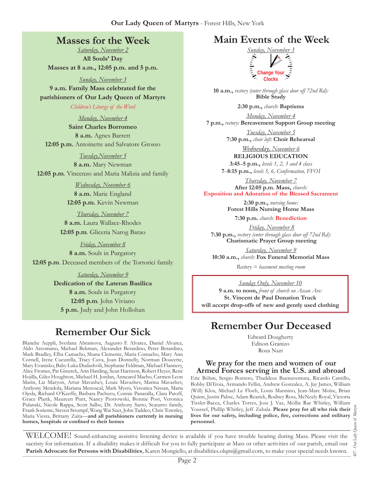# **Masses for the Week**

*Saturday, November 2* **All Souls' Day Masses at 8 a.m., 12:05 p.m. and 5 p.m.**

*Sunday, November 3*

**9 a.m. Family Mass celebrated for the parishioners of Our Lady Queen of Martyrs**

*Children's Liturgy of the Word* 

*Monday, November 4* **Saint Charles Borromeo 8 a.m.** Agnes Barrett **12:05 p.m.** Antoinette and Salvatore Grosso

*Tuesday,November 5*

**8 a.m.** Mary Newman **12:05 p.m***.* Vincenzo and Maria Malizia and family

> *Wednesday, November 6* **8 a.m.** Marie England **12:05 p.m.** Kevin Newman

*Thursday, November 7* **8 a.m.** Laura Wallace-Rhodes **12:05 p.m***.* Gliceria Narog Barao

*Friday, November 8* **8 a.m.** Souls in Purgatory **12:05 p.m***.* Deceased members of the Tortorici family

> *Saturday, November 9* **Dedication of the Lateran Basilica 8 a.m.** Souls in Purgatory **12:05 p.m***.* John Viviano **5 p.m.** Judy and John Hollohan

# **Remember Our Sick**

Blanche Aeppli, Svetlana Abramova, Augusto F. Alvarez, Daniel Alvarez, Aldo Arcomano, Michael Bekman, Alexander Berardino, Peter Berardino, Mark Bradley, Elba Camacho, Shana Clemente, Maria Comacho, Mary Ann Cornell, Irene Cucurella, Tracy Cuva, Joan Donnelly, Norman Doucette, Mary Evanisko, Baby Luka Dudashvili, Stephanie Feldman, Michael Flannery, Alice Fromer, Pat Gmerek, Ann Harding, Sean Harrison, Robert Heyer, René Hojilla, Giles Houghton, Michael H. Jordan, Anncarol Macho, Carmen Leon Marin, Liz Maryon, Artur Mavashev, Louie Mavashev, Marina Mavashev, Anthony Mendola, Mariana Menoscal, Mark Myers, Veronica Nissan, Maria Ojeda, Richard O'Keeffe, Barbara Pacheco, Connie Panaralla, Clara Patoff, Grace Plank, Maureen Piatt, Nancy Piotrowski, Bonnie Post, Veronica Pulanski, Nicole Rappa, Scott Salbo, Dr. Anthony Sarro, Scaturro family, Frank Soriente, Steven Strumpf, Wong Wai Suet, John Taddeo, Chris Townley, Maria Viesta, Brittany Zaita—**and all parishioners currently in nursing homes, hospitals or confined to their homes**

# **Main Events of the Week**



**10 a.m.,** *rectory (enter through glass door off 72nd Rd):* **Bible Study** 

**2:30 p.m.,** *church:* **Baptisms**

*Monday, November 4* **7 p.m.,** *rectory:* **Bereavement Support Group meeting**

> *Tuesday, November 5* **7:30 p.m.,** *choir loft:* **Choir Rehearsal**

*Wednesday, November 6* **RELIGIOUS EDUCATION 3:45**–**5 p.m.,** *levels 1, 2, 3 and 4 class*

**7**–**8:15 p.m.,** *levels 5, 6, Confirmation, FFO  I*

*Thursday, November 7* **After 12:05 p.m. Mass,** *church:*  **Exposition and Adoration of the Blessed Sacrament**

> **2:30 p.m.,** *nursing home:*  **Forest Hills Nursing Home Mass**

**7:30 p.m.** *church:* **Benediction**

*Friday, November 8* **7:30 p.m.,** *rectory (enter through glass door off 72nd Rd):*  **Charismatic Prayer Group meeting**

*Saturday, November 9* **10:30 a.m.,** *church:* **Fox Funeral Memorial Mass**

*Rectory = basement meeting room*

*Sunday Only, November 10* **9 a.m. to noon,** *front of church on Ascan Ave:*  **St. Vincent de Paul Donation Truck will accept drop-offs of new and gently used clothing**

# **Remember Our Deceased**

Edward Dougherty Edison Granizo Roza Nazi

#### **We pray for the men and women of our Armed Forces serving in the U.S. and abroad**

Eric Böhm, Sergio Borrero, Thaddeus Buenaventura, Ricardo Cantillo, Bobby DiTroia, Armando Fellin, Andrew Gonzalez, A. Jay James, William (Will) Klos, Michael Le Floch, Louis Mannino, Jean-Marc Moïse, Brian Quinn, Justin Pabse, Adam Rearick, Rodney Ross, McNeely Royal, Victoria Tissler-Bacca, Charles Torres, Jose J. Vaz, Mollie Rae Whitley, William Youssef, Phillip Whitley, Jeff Zabala. **Please pray for all who risk their lives for our safety, including police, fire, corrections and military personnel.**

Queen of Martyrs 407 - Our Lady Queen of Martyrs Our Lady  $+00$ 

WELCOME! Sound-enhancing assistive listening device is available if you have trouble hearing during Mass. Please visit the sacristy for information. If a disability makes it difficult for you to fully participate at Mass or other activities of our parish, email our **Parish Advocate for Persons with Disabilities**, Karen Mongiello, at [disabilities.olqm@gmail.com](mailto:disabilities.olqm@gmail.com), to make your special needs known.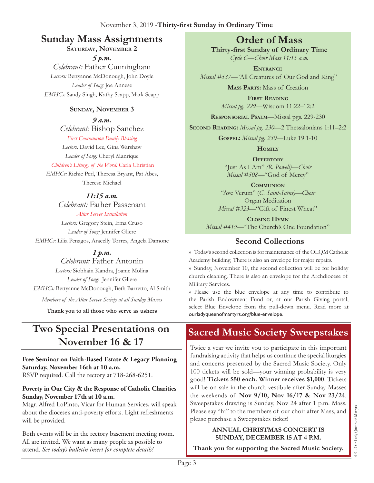# **Sunday Mass Assignments Order of Mass**

# **Saturday, November 2**

*5 p.m.* 

*Celebrant:* Father Cunningham *Lectors:* Bettyanne McDonough, John Doyle *Leader of Song:* Joe Annese *EMHCs:* Sandy Singh, Kathy Scapp, Mark Scapp

#### **Sunday, November 3**

*9 a.m.* 

*Celebrant:* Bishop Sanchez *First Communion Family Blessing*

*Lectors:* David Lee, Gina Warshaw *Leader of Song:* Cheryl Manrique

#### *Children's Liturgy of the Word:* Carla Christian

*EMHCs:* Richie Perl, Theresa Bryant, Pat Abes, Therese Michael

#### *11:15 a.m.*

*Celebrant:* Father Passenant *Altar Server Installation*

*Lectors:* Gregory Stein, Irma Cruso *Leader of Song:* Jennifer Gliere *EMHCs:* Lilia Penagos, Aracelly Torres, Angela Damone

*1 p.m.* 

### *Celebrant:* Father Antonin

*Lectors:* Siobhain Kandra, Joanie Molina *Leader of Song:* Jennifer Gliere *EMHCs:* Bettyanne McDonough, Beth Barretto, Al Smith *Members of the Altar Server Society at all Sunday Masses*

**Thank you to all those who serve as ushers**

# **Two Special Presentations on November 16 & 17**

**Free Seminar on Faith-Based Estate & Legacy Planning Saturday, November 16th at 10 a.m.** 

RSVP required. Call the rectory at 718-268-6251.

#### **Poverty in Our City & the Response of Catholic Charities Sunday, November 17th at 10 a.m.**

Msgr. Alfred LoPinto, Vicar for Human Services, will speak about the diocese's anti-poverty efforts. Light refreshments will be provided.

Both events will be in the rectory basement meeting room. All are invited. We want as many people as possible to attend. *See today's bulletin insert for complete details!* 

**Thirty-first Sunday of Ordinary Time** *Cycle C—Choir Mass 11:15 a.m.*

**Entrance** *Missal #537—*"All Creatures of Our God and King"

**Mass Parts:** Mass of Creation

**First Reading** *Missal pg. 229—*Wisdom 11:22–12:2

**Responsorial Psalm**—Missal pgs. 229-230

**Second Reading:** *Missal pg. 230—*2 Thessalonians 1:11–2:2

**Gospel:** *Missal pg. 230—*Luke 19:1-10

**Homily**

**OFFERTORY** "Just As I Am" *(R. Powell)—Choir Missal #508—*"God of Mercy"

**Communion** "Ave Verum" (*C. Saint-Saëns)—Choir*  Organ Meditation *Missal #323—*"Gift of Finest Wheat"

**Closing Hymn** *Missal #419—*"The Church's One Foundation"

# **Second Collections**

›› Today's second collection is for maintenance of the OLQM Catholic Academy building. There is also an envelope for major repairs. ›› Sunday, November 10, the second collection will be for holiday church cleaning. There is also an envelope for the Archdiocese of Military Services.

›› Please use the blue envelope at any time to contribute to the Parish Endowment Fund or, at our Parish Giving portal, select Blue Envelope from the pull-down menu. Read more at ourladyqueenofmartyrs.org/blue-envelope.

# **Sacred Music Society Sweepstakes**

Twice a year we invite you to participate in this important fundraising activity that helps us continue the special liturgies and concerts presented by the Sacred Music Society. Only 100 tickets will be sold—your winning probability is very good! **Tickets \$50 each. Winner receives \$1,000**. Tickets will be on sale in the church vestibule after Sunday Masses the weekends of **Nov 9/10, Nov 16/17 & Nov 23/24**. Sweepstakes drawing is Sunday, Nov 24 after 1 p.m. Mass. Please say "hi" to the members of our choir after Mass, and please purchase a Sweepstakes ticket!

#### **ANNUAL CHRISTMAS CONCERT IS SUNDAY, DECEMBER 15 AT 4 P.M.**

**Thank you for supporting the Sacred Music Society.**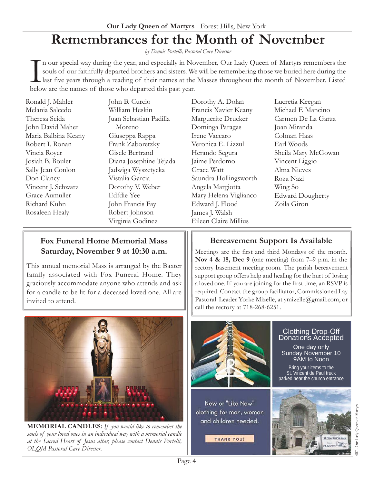# **Remembrances for the Month of November**

*by Dennis Portelli, Pastoral Care Director*

In our special way during the year, and especially in Nc souls of our faithfully departed brothers and sisters. We last five years through a reading of their names at the below are the names of those who departed this past n our special way during the year, and especially in November, Our Lady Queen of Martyrs remembers the souls of our faithfully departed brothers and sisters. We will be remembering those we buried here during the last five years through a reading of their names at the Masses throughout the month of November. Listed

Ronald J. Mahler Melania Salcedo Theresa Scida John David Maher Maria Balbina Keany Robert I. Ronan Vincia Royer Josiah B. Boulet Sally Jean Conlon Don Clancy Vincent J. Schwarz Grace Aumuller Richard Kuhn Rosaleen Healy

John B. Curcio William Heskin Juan Sebastian Padilla Moreno Giuseppa Rappa Frank Zaboretzky Gisele Bertrand Diana Josephine Tejada Jadwiga Wyszetycka Vistalia Garcia Dorothy V. Weber Edfdie Yee John Francis Fay Robert Johnson Virginia Godinez

Dorothy A. Dolan Francis Xavier Keany Marguerite Drucker Dominga Paragas Irene Vaccaro Veronica E. Lizzul Herando Segura Jaime Perdomo Grace Watt Saundra Hollingsworth Angela Margiotta Mary Helena Viglianco Edward J. Flood James J. Walsh Eileen Claire Millius

Lucretia Keegan Michael F. Mancino Carmen De La Garza Joan Miranda Colman Haas Earl Woods Sheila Mary McGowan Vincent Liggio Alma Nieves Roza Nazi Wing So Edward Dougherty Zoila Giron

# **Fox Funeral Home Memorial Mass Saturday, November 9 at 10:30 a.m.**

This annual memorial Mass is arranged by the Baxter family associated with Fox Funeral Home. They graciously accommodate anyone who attends and ask for a candle to be lit for a deceased loved one. All are invited to attend.



**MEMORIAL CANDLES:** *If you would like to remember the souls of your loved ones in an individual way with a memorial candle at the Sacred Heart of Jesus altar, please contact Dennis Portelli, OLQM Pastoral Care Director.*

# **Bereavement Support Is Available**

Meetings are the first and third Mondays of the month. **Nov 4 & 18, Dec 9** (one meeting) from 7–9 p.m. in the rectory basement meeting room. The parish bereavement support group offers help and healing for the hurt of losing a loved one. If you are joining for the first time, an RSVP is required. Contact the group facilitator, Commissioned Lay Pastoral Leader Yorke Mizelle, at [ymizelle@gmail.com](mailto:ymizelle@nyc.rr.com), or call the rectory at 718-268-6251.



New or "Like New" clothing for men, women and children needed.

**THANK YOU!** 

#### Clothing Drop-Off Donations Accepted

One day only Sunday November 10 9AM to Noon

Bring your items to the St. Vincent de Paul truck parked near the church entrance

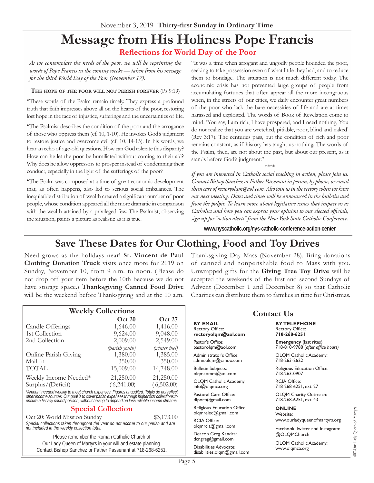# **Message from His Holiness Pope Francis Reflections for World Day of the Poor**

*As we contemplate the needs of the poor, we will be reprinting the words of Pope Francis in the coming weeks — taken from his message for the third World Day of the Poor (November 17).*

#### **The hope of the poor will not perish forever** (Ps 9:19)

"These words of the Psalm remain timely. They express a profound truth that faith impresses above all on the hearts of the poor, restoring lost hope in the face of injustice, sufferings and the uncertainties of life.

"The Psalmist describes the condition of the poor and the arrogance of those who oppress them (cf. 10, 1-10). He invokes God's judgment to restore justice and overcome evil (cf. 10, 14-15). In his words, we hear an echo of age-old questions. How can God tolerate this disparity? How can he let the poor be humiliated without coming to their aid? Why does he allow oppressors to prosper instead of condemning their conduct, especially in the light of the sufferings of the poor?

"The Psalm was composed at a time of great economic development that, as often happens, also led to serious social imbalances. The inequitable distribution of wealth created a significant number of poor people, whose condition appeared all the more dramatic in comparison with the wealth attained by a privileged few. The Psalmist, observing the situation, paints a picture as realistic as it is true.

"It was a time when arrogant and ungodly people hounded the poor, seeking to take possession even of what little they had, and to reduce them to bondage. The situation is not much different today. The economic crisis has not prevented large groups of people from accumulating fortunes that often appear all the more incongruous when, in the streets of our cities, we daily encounter great numbers of the poor who lack the bare necessities of life and are at times harassed and exploited. The words of Book of Revelation come to mind: 'You say, I am rich, I have prospered, and I need nothing. You do not realize that you are wretched, pitiable, poor, blind and naked' (Rev 3:17). The centuries pass, but the condition of rich and poor remains constant, as if history has taught us nothing. The words of the Psalm, then, are not about the past, but about our present, as it stands before God's judgment."

\*\*\*\* *If you are interested in Catholic social teaching in action, please join us. Contact Bishop Sanchez or Father Passenant in person, by phone, or email them care of [rectoryolqm@aol.com.](mailto:rectoryolqm@aol.com) Also join us in the rectory when we have our next meeting. Dates and times will be announced in the bulletin and from the pulpit. To learn more about legislative issues that impact us as Catholics and how you can express your opinion to our elected officials, sign up for "action alerts" from the New York State Catholic Conference.* 

**[www.nyscatholic.org/nys-catholic-conference-action-center](https://www.nyscatholic.org/nys-catholic-conference-action-center/)**

# **Save These Dates for Our Clothing, Food and Toy Drives**

Need grows as the holidays near! **St. Vincent de Paul Clothing Donation Truck** visits once more for 2019 on Sunday, November 10, from 9 a.m. to noon. (Please do not drop off your item before the 10th because we do not have storage space.) **Thanksgiving Canned Food Drive** will be the weekend before Thanksgiving and at the 10 a.m.

Thanksgiving Day Mass (November 28). Bring donations of canned and nonperishable food to Mass with you. Unwrapped gifts for the **Giving Tree Toy Drive** will be accepted the weekends of the first and second Sundays of Advent (December 1 and December 8) so that Catholic Charities can distribute them to families in time for Christmas.

| <b>Weekly Collections</b>                                                                                                                                                                                                            |                                       |                                       | <b>Contact Us</b>                                                |                                                                    |
|--------------------------------------------------------------------------------------------------------------------------------------------------------------------------------------------------------------------------------------|---------------------------------------|---------------------------------------|------------------------------------------------------------------|--------------------------------------------------------------------|
| Candle Offerings<br>1st Collection                                                                                                                                                                                                   | <b>Oct 20</b><br>1,646.00<br>9,624.00 | <b>Oct 27</b><br>1,416.00<br>9,048.00 | <b>BY EMAIL</b><br><b>Rectory Office:</b><br>rectoryolgm@aol.com | <b>BY TELEPHONE</b><br>Rectory Office:<br>718-268-6251             |
| 2nd Collection                                                                                                                                                                                                                       | 2,009.00<br>(parish youth)            | 2,549.00<br>(winter fuel)             | Pastor's Office:<br>pastorolqm@aol.com                           | <b>Emergency</b> (last rites)<br>718-810-9788 (after office hours) |
| Online Parish Giving<br>Mail In                                                                                                                                                                                                      | 1,380.00<br>350.00                    | 1,385.00<br>350.00                    | Administrator's Office:<br>admn.olqm@yahoo.com                   | OLQM Catholic Academy:<br>718-263-2622                             |
| TOTAL                                                                                                                                                                                                                                | 15,009.00                             | 14,748.00                             | <b>Bulletin Subjects:</b><br>olgmcomm@aol.com                    | Religious Education Office:<br>718-263-0907                        |
| Weekly Income Needed*<br>Surplus/(Deficit)                                                                                                                                                                                           | 21,250.00<br>(6,241.00)               | 21,250.00<br>(6,502.00)               | <b>OLQM</b> Catholic Academy<br>info@olgmca.org                  | <b>RCIA Office:</b><br>718-268-6251, ext. 27                       |
| *Amount needed weekly to meet church expenses. Figures unaudited. Totals do not reflect<br>other income sources. Our goal is to cover parish expenses through higher first collections to<br>ensure a fiscally sound position, witho |                                       |                                       | Pastoral Care Office:<br>dfport@gmail.com                        | OLQM Charity Outreach:<br>718-268-6251, ext. 43                    |
| <b>Special Collection</b>                                                                                                                                                                                                            |                                       |                                       | Religious Education Office:<br>olgmreled@gmail.com               | <b>ONLINE</b><br>Website:                                          |
| Oct 20: World Mission Sunday<br>\$3,173.00<br>Special collections taken throughout the year do not accrue to our parish and are<br>not included in the weekly collection total.                                                      |                                       |                                       | <b>RCIA Office:</b><br>olgmrcia@gmail.com                        | www.ourladyqueenofmartyrs.org<br>Facebook, Twitter and Instagram:  |
| Please remember the Roman Catholic Church of                                                                                                                                                                                         |                                       |                                       | Deacon Greg Kandra:<br>dcngreg@gmail.com                         | @OLQMChurch                                                        |
| Our Lady Queen of Martyrs in your will and estate planning.<br>Contact Bishop Sanchez or Father Passenant at 718-268-6251.                                                                                                           |                                       |                                       | Disabilities Advocate:<br>disabilities.olqm@gmail.com            | OLQM Catholic Academy:<br>www.olqmca.org                           |